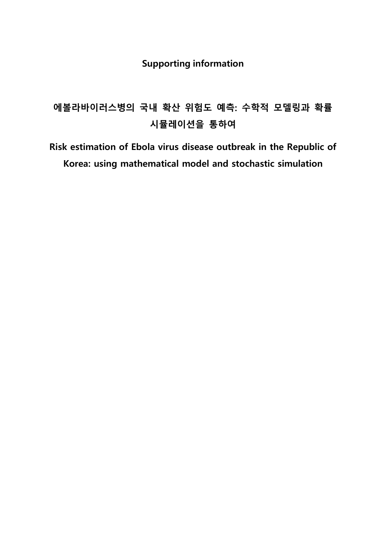## **Supporting information**

# **에볼라바이러스병의 국내 확산 위험도 예측: 수학적 모델링과 확률 시뮬레이션을 통하여**

**Risk estimation of Ebola virus disease outbreak in the Republic of Korea: using mathematical model and stochastic simulation**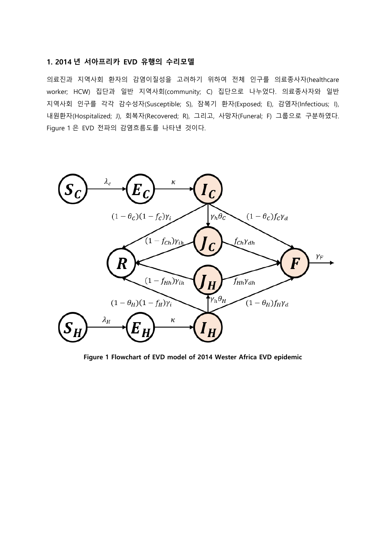#### **1. 2014 년 서아프리카 EVD 유행의 수리모델**

의료진과 지역사회 환자의 감염이질성을 고려하기 위하여 전체 인구를 의료종사자(healthcare worker; HCW) 집단과 일반 지역사회(community; C) 집단으로 나누었다. 의료종사자와 일반 지역사회 인구를 각각 감수성자(Susceptible; S), 잠복기 환자(Exposed; E), 감염자(Infectious; I), 내원환자(Hospitalized; J), 회복자(Recovered; R), 그리고, 사망자(Funeral; F) 그룹으로 구분하였다. Figure 1 은 EVD 전파의 감염흐름도를 나타낸 것이다.



**Figure 1 Flowchart of EVD model of 2014 Wester Africa EVD epidemic**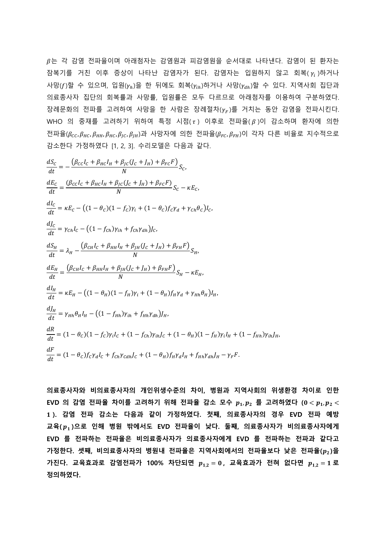는 각 감염 전파율이며 아래첨자는 감염원과 피감염원을 순서대로 나타낸다. 감염이 된 환자는 잠복기를 거친 이후 증상이 나타난 감염자가 된다. 감염자는 입원하지 않고 회복( $\gamma_i$ )하거나 사망(f)할 수 있으며, 입원( $\gamma_h$ )을 한 뒤에도 회복( $\gamma_{ih}$ )하거나 사망( $\gamma_{dh}$ )할 수 있다. 지역사회 집단과 의료종사자 집단의 회복률과 사망률, 입원률은 모두 다르므로 아래첨자를 이용하여 구분하였다. 장례문화의 전파를 고려하여 사망을 한 사람은 장례절차 $(\gamma_F)$ 를 거치는 동안 감염을 전파시킨다. WHO 의 중재를 고려하기 위하여 특정 시점(τ) 이후로 전파율(β)이 감소하며 환자에 의한 전파율( $\beta_{cc}$ ,  $\beta_{HC}$ ,  $\beta_{HH}$ ,  $\beta_{HC}$ ,  $\beta_{U}$ ,  $\beta_{HH}$ )과 사망자에 의한 전파율( $\beta_{FC}$ ,  $\beta_{FH}$ )이 각자 다른 비율로 지수적으로 감소한다 가정하였다 [1, 2, 3]. 수리모델은 다음과 같다.

$$
\frac{dS_{c}}{dt} = -\frac{(\beta_{cc}l_{c} + \beta_{HC}l_{H} + \beta_{IC}(J_{c} + J_{H}) + \beta_{FC}F)}{N}S_{c},
$$
\n
$$
\frac{dE_{c}}{dt} = \frac{(\beta_{cc}l_{c} + \beta_{HC}l_{H} + \beta_{JC}(J_{c} + J_{H}) + \beta_{FC}F)}{N}S_{c} - \kappa E_{c},
$$
\n
$$
\frac{dI_{c}}{dt} = \kappa E_{c} - ((1 - \theta_{c})(1 - f_{c})\gamma_{i} + (1 - \theta_{c})f_{c}\gamma_{d} + \gamma_{Ch}\theta_{c})I_{c},
$$
\n
$$
\frac{dJ_{c}}{dt} = \gamma_{Ch}l_{c} - ((1 - f_{Ch})\gamma_{ih} + f_{Ch}\gamma_{ah})J_{c},
$$
\n
$$
\frac{dS_{H}}{dt} = \lambda_{H} - \frac{(\beta_{CH}l_{c} + \beta_{HH}l_{H} + \beta_{JI}(J_{c} + J_{H}) + \beta_{FH}F)}{N}S_{H},
$$
\n
$$
\frac{dE_{H}}{dt} = \frac{(\beta_{CH}l_{c} + \beta_{HH}l_{H} + \beta_{JI}(J_{c} + J_{H}) + \beta_{FH}F)}{N}S_{H} - \kappa E_{H},
$$
\n
$$
\frac{dI_{H}}{dt} = \kappa E_{H} - ((1 - \theta_{H})(1 - f_{H})\gamma_{i} + (1 - \theta_{H})f_{H}\gamma_{d} + \gamma_{Hh}\theta_{H})I_{H},
$$
\n
$$
\frac{dJ_{H}}{dt} = \gamma_{Hh}\theta_{H}l_{H} - ((1 - f_{Hh})\gamma_{ih} + f_{Hh}\gamma_{ah})J_{H},
$$
\n
$$
\frac{dR}{dt} = (1 - \theta_{c})(1 - f_{c})\gamma_{i}l_{c} + (1 - f_{Ch})\gamma_{ih}J_{c} + (1 - \theta_{H})(1 - f_{H})\gamma_{i}l_{H} + (1 - f_{Hh})\gamma_{ih}J_{H},
$$
\n
$$
\frac{dF}{dt} = (1 - \theta_{c})f_{c}\gamma_{d}l_{c} + f_{Ch}\gamma_{cah}J_{c} + (1 - \theta_{H})f_{H}\gamma_{d}l_{H} + f_{
$$

**의료종사자와 비의료종사자의 개인위생수준의 차이, 병원과 지역사회의 위생환경 차이로 인한**  $E$ VD 의 감염 전파율 차이를 고려하기 위해 전파율 감소 모수  $p_1, p_2$  를 고려하였다  $(0 < p_1, p_2 <$  **). 감염 전파 감소는 다음과 같이 가정하였다. 첫째, 의료종사자의 경우 EVD 전파 예방 교육( )으로 인해 병원 밖에서도 EVD 전파율이 낮다. 둘째, 의료종사자가 비의료종사자에게 EVD 를 전파하는 전파율은 비의료종사자가 의료종사자에게 EVD 를 전파하는 전파과 같다고 가정한다. 셋째, 비의료종사자의 병원내 전파율은 지역사회에서의 전파율보다 낮은 전파율( )을**  $\overline{P}_{1,2} = 0$ , 교육효과로 감염전파가 100% 차단되면  $p_{1,2} = 0$ , 교육효과가 전혀 없다면  $p_{1,2} = 1$ 로 **정의하였다.**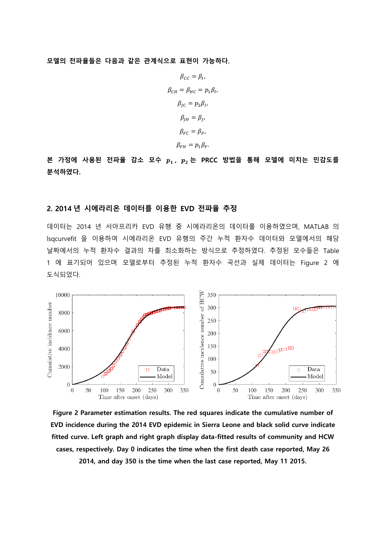**모델의 전파율들은 다음과 같은 관계식으로 표현이 가능하다.**

$$
\beta_{cc} = \beta_I,
$$
  
\n
$$
\beta_{CH} = \beta_{HC} = p_1 \beta_I,
$$
  
\n
$$
\beta_{JC} = p_2 \beta_I,
$$
  
\n
$$
\beta_{JH} = \beta_J,
$$
  
\n
$$
\beta_{FC} = \beta_F,
$$
  
\n
$$
\beta_{FH} = p_1 \beta_F.
$$

**본 가정에 사용된 전파율 감소 모수 , 는 PRCC 방법을 통해 모델에 미치는 민감도를 분석하였다.** 

#### **2. 2014 년 시에라리온 데이터를 이용한 EVD 전파율 추정**

데이터는 2014 년 서아프리카 EVD 유행 중 시에라리온의 데이터를 이용하였으며, MATLAB 의 lsqcurvefit 을 이용하여 시에라리온 EVD 유행의 주간 누적 환자수 데이터와 모델에서의 해당 날짜에서의 누적 환자수 결과의 차를 최소화하는 방식으로 추정하였다. 추정된 모수들은 Table 1 에 표기되어 있으며 모델로부터 추정된 누적 환자수 곡선과 실제 데이터는 Figure 2 에 도식되었다.



**Figure 2 Parameter estimation results. The red squares indicate the cumulative number of EVD incidence during the 2014 EVD epidemic in Sierra Leone and black solid curve indicate fitted curve. Left graph and right graph display data-fitted results of community and HCW cases, respectively. Day 0 indicates the time when the first death case reported, May 26 2014, and day 350 is the time when the last case reported, May 11 2015.**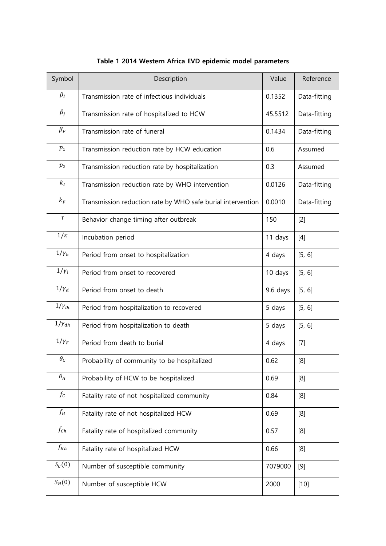| Symbol               | Description                                                 | Value    | Reference                                                                                                                                                  |
|----------------------|-------------------------------------------------------------|----------|------------------------------------------------------------------------------------------------------------------------------------------------------------|
| $\beta_I$            | Transmission rate of infectious individuals                 | 0.1352   | Data-fitting                                                                                                                                               |
| $\beta_J$            | Transmission rate of hospitalized to HCW                    | 45.5512  | Data-fitting                                                                                                                                               |
| $\beta_F$            | Transmission rate of funeral                                | 0.1434   | Data-fitting                                                                                                                                               |
| $p_{1}$              | Transmission reduction rate by HCW education                | 0.6      | Assumed                                                                                                                                                    |
| $p_{2}$              | Transmission reduction rate by hospitalization              | 0.3      | Assumed                                                                                                                                                    |
| $k_I$                | Transmission reduction rate by WHO intervention             | 0.0126   | Data-fitting                                                                                                                                               |
| $k_{\it F}$          | Transmission reduction rate by WHO safe burial intervention | 0.0010   | Data-fitting                                                                                                                                               |
| $\tau$               | Behavior change timing after outbreak                       | 150      | $[2]$                                                                                                                                                      |
| $1/\kappa$           | Incubation period                                           | 11 days  | $[4]$                                                                                                                                                      |
| $1/\gamma_h$         | Period from onset to hospitalization                        | 4 days   | [5, 6]                                                                                                                                                     |
| $1/\gamma_i$         | Period from onset to recovered                              | 10 days  | [5, 6]                                                                                                                                                     |
| $1/\gamma_d$         | Period from onset to death                                  | 9.6 days | [5, 6]                                                                                                                                                     |
| $1/\gamma_{ih}$      | Period from hospitalization to recovered                    | 5 days   | [5, 6]                                                                                                                                                     |
| $1/\gamma_{dh}$      | Period from hospitalization to death                        | 5 days   | [5, 6]                                                                                                                                                     |
| $1/\gamma_F$         | Period from death to burial                                 | 4 days   | $[7]$                                                                                                                                                      |
| $\theta_C$           | Probability of community to be hospitalized                 | 0.62     | $[8] % \includegraphics[width=0.9\columnwidth]{figures/fig_1a} \caption{Schematic diagram of the top of the top of the top of the right.} \label{fig:1} %$ |
| $\theta_H$           | Probability of HCW to be hospitalized                       | 0.69     | [8]                                                                                                                                                        |
| $f_c$                | Fatality rate of not hospitalized community                 | 0.84     | [8]                                                                                                                                                        |
| $f_H$                | Fatality rate of not hospitalized HCW                       | 0.69     | [8]                                                                                                                                                        |
| $f_{Ch}$             | Fatality rate of hospitalized community                     | 0.57     | [8]                                                                                                                                                        |
| $f_{Hh}$             | Fatality rate of hospitalized HCW                           | 0.66     | [8]                                                                                                                                                        |
| $S_{\mathcal{C}}(0)$ | Number of susceptible community                             | 7079000  | [9]                                                                                                                                                        |
| $S_H(0)$             | Number of susceptible HCW                                   | 2000     | $[10]$                                                                                                                                                     |

### **Table 1 2014 Western Africa EVD epidemic model parameters**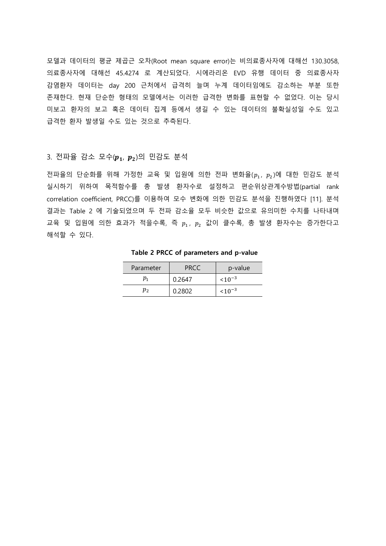모델과 데이터의 평균 제곱근 오차(Root mean square error)는 비의료종사자에 대해선 130.3058, 의료종사자에 대해선 45.4274 로 계산되었다. 시에라리온 EVD 유행 데이터 중 의료종사자 감염환자 데이터는 day 200 근처에서 급격히 늘며 누계 데이터임에도 감소하는 부분 또한 존재한다. 현재 단순한 형태의 모델에서는 이러한 급격한 변화를 표현할 수 없었다. 이는 당시 미보고 환자의 보고 혹은 데이터 집계 등에서 생길 수 있는 데이터의 불확실성일 수도 있고 급격한 환자 발생일 수도 있는 것으로 추측된다.

#### 3. 전파율 감소 모수 $(p_1, p_2)$ 의 민감도 분석

전파율의 단순화를 위해 가정한 교육 및 입원에 의한 전파 변화율( $p_1$ ,  $p_2$ )에 대한 민감도 분석 실시하기 위하여 목적함수를 총 발생 환자수로 설정하고 편순위상관계수방법(partial rank correlation coefficient, PRCC)를 이용하여 모수 변화에 의한 민감도 분석을 진행하였다 [11]. 분석 결과는 Table 2 에 기술되었으며 두 전파 감소율 모두 비슷한 값으로 유의미한 수치를 나타내며 교육 및 입원에 의한 효과가 적을수록, 즉  $p_1$ ,  $p_2$  값이 클수록, 총 발생 환자수는 증가한다고 해석할 수 있다.

| Parameter                  | PRCC   | p-value     |
|----------------------------|--------|-------------|
| $p_{\scriptscriptstyle 1}$ | 0.2647 | $< 10^{-3}$ |
| $p_{2}$                    | 0.2802 | $10^{-3}$   |

**Table 2 PRCC of parameters and p-value**